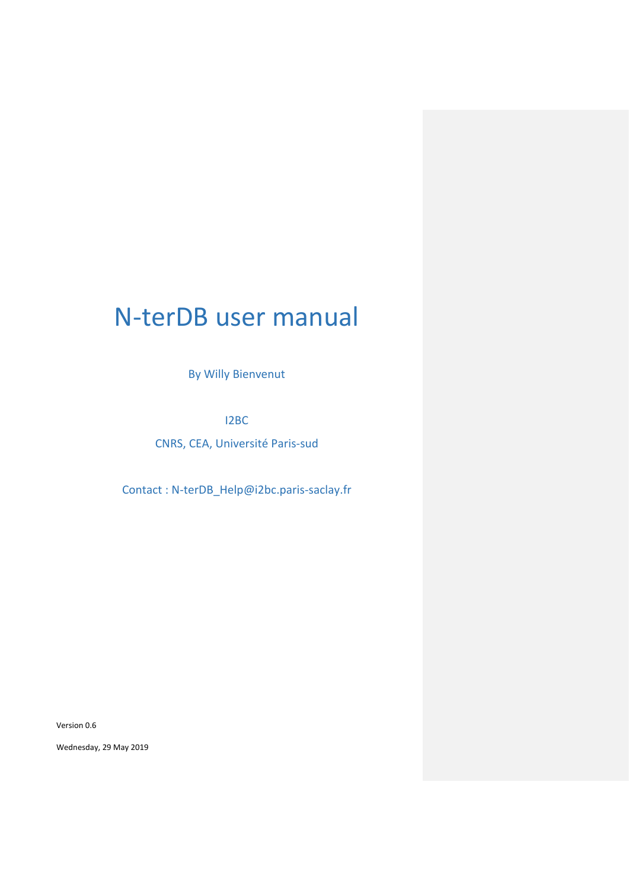# N-terDB user manual

By Willy Bienvenut

I2BC

CNRS, CEA, Université Paris-sud

Contact : N-terDB\_Help@i2bc.paris-saclay.fr

Version 0.6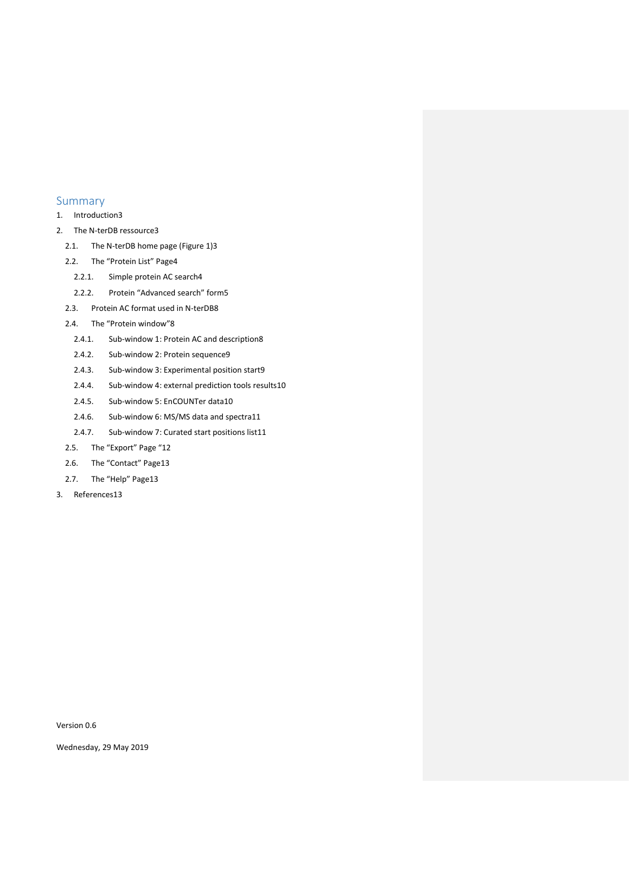# Summary

- 1. [Introduction3](#page-2-0)
- 2. [The N-terDB ressource3](#page-2-1)
	- 2.1. [The N-terDB home page \(Figure 1\)3](#page-2-2)
	- 2.2. [The "Protein List" Page](#page-3-0)4
		- 2.2.1. [Simple protein AC search4](#page-3-1)
		- 2.2.2. [Protein "Advanced search" form](#page-4-0)5
	- 2.3. [Protein AC format used in N-terDB8](#page-7-0)
	- 2.4. [The "Protein window"](#page-7-1)8
		- 2.4.1. [Sub-window 1: Protein AC and description8](#page-7-2)
		- 2.4.2. [Sub-window 2: Protein sequence9](#page-8-0)
		- 2.4.3. [Sub-window 3: Experimental position start9](#page-8-1)
		- 2.4.4. [Sub-window 4: external prediction tools results10](#page-9-0)
		- 2.4.5. [Sub-window 5: EnCOUNTer data10](#page-9-1)
		- 2.4.6. [Sub-window 6: MS/MS data and spectra11](#page-10-0)
		- 2.4.7. [Sub-window 7: Curated start positions list11](#page-10-1)
	- 2.5. [The "Export" Page "](#page-11-0)12
	- 2.6. [The "Contact"](#page-12-0) Page13
- 2.7. [The "Help" Page](#page-12-1)13
- 3. [References13](#page-12-2)

Version 0.6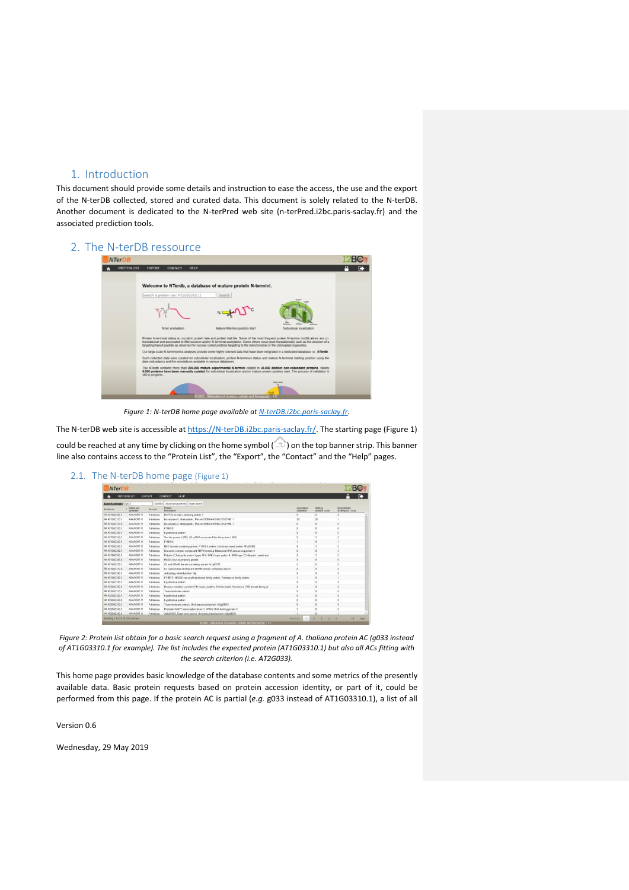# <span id="page-2-0"></span>1. Introduction

This document should provide some details and instruction to ease the access, the use and the export of the N-terDB collected, stored and curated data. This document is solely related to the N-terDB. Another document is dedicated to the N-terPred web site (n-terPred.i2bc.paris-saclay.fr) and the associated prediction tools.

# <span id="page-2-1"></span>2. The N-terDB ressource

| <b>PROTEIN LIST</b> |                                                                                                                                                                                                                   | HELP                                                                                                                           |                                                                                                                                                                                                                                                                            |  |  |
|---------------------|-------------------------------------------------------------------------------------------------------------------------------------------------------------------------------------------------------------------|--------------------------------------------------------------------------------------------------------------------------------|----------------------------------------------------------------------------------------------------------------------------------------------------------------------------------------------------------------------------------------------------------------------------|--|--|
|                     | EXPORT<br><b>CONTACT</b>                                                                                                                                                                                          |                                                                                                                                |                                                                                                                                                                                                                                                                            |  |  |
|                     |                                                                                                                                                                                                                   |                                                                                                                                |                                                                                                                                                                                                                                                                            |  |  |
|                     |                                                                                                                                                                                                                   | Welcome to NTerdb, a database of mature protein N-termini.                                                                     |                                                                                                                                                                                                                                                                            |  |  |
|                     | Search a protein (ex: AT1G03310.1)                                                                                                                                                                                | Search                                                                                                                         |                                                                                                                                                                                                                                                                            |  |  |
|                     |                                                                                                                                                                                                                   |                                                                                                                                |                                                                                                                                                                                                                                                                            |  |  |
|                     |                                                                                                                                                                                                                   |                                                                                                                                |                                                                                                                                                                                                                                                                            |  |  |
|                     |                                                                                                                                                                                                                   |                                                                                                                                |                                                                                                                                                                                                                                                                            |  |  |
|                     |                                                                                                                                                                                                                   |                                                                                                                                |                                                                                                                                                                                                                                                                            |  |  |
|                     | N-ter acetylation                                                                                                                                                                                                 | Mature Ntermini position start                                                                                                 | Subcellular localization                                                                                                                                                                                                                                                   |  |  |
|                     |                                                                                                                                                                                                                   |                                                                                                                                | Protein N-terminal status is crucial in protein tate and protein half-life. Some of the most frequent protein N-termini modifications are co-                                                                                                                              |  |  |
|                     |                                                                                                                                                                                                                   | targeting/transit peptide as observed for nuclear coded proteins targeting to the mitochondrial or the chloroplast organeties. | translational and associated to Met excision and/or N-terminal acetylation. Some others occur post-translationally such as the excision of a                                                                                                                               |  |  |
|                     |                                                                                                                                                                                                                   |                                                                                                                                | Our large-scale N-terminomics analyses provide some highly relevant data that have been integrated in a dedicated database i.e., NTerdb.                                                                                                                                   |  |  |
|                     | Such collected data were curated for subcellular localisation, protein N-terminus status and mature N-terminal starting position using the<br>data redundancy and the annotations available in various databases. |                                                                                                                                |                                                                                                                                                                                                                                                                            |  |  |
|                     |                                                                                                                                                                                                                   |                                                                                                                                |                                                                                                                                                                                                                                                                            |  |  |
|                     | still in progress                                                                                                                                                                                                 |                                                                                                                                | The NTordb contains more than 200,000 mature experimental N-termini rolated to 35,000 distinct non-redundant proteins. Nearly<br>8.000 proteins have been manually curated for subcellular localization and/or mature protein position start. The process of validation is |  |  |
|                     |                                                                                                                                                                                                                   |                                                                                                                                | <b>Cario any</b>                                                                                                                                                                                                                                                           |  |  |
|                     |                                                                                                                                                                                                                   |                                                                                                                                |                                                                                                                                                                                                                                                                            |  |  |

*Figure 1: N-terDB home page available a[t N-terDB.i2bc.paris-saclay.fr.](file:///C:/intra.i2bc.paris-saclay.fr/partages/Equipes/SICaPS/spectro/Moi/new-Backup-WIB-All/Database/eNergiomeDB/N-terDB%20user%20manual/N-terDB.i2bc.paris-saclay.fr)*

The N-terDB web site is accessible at [https://N-terDB.i2bc.paris-saclay.fr/.](https://n-terdb.i2bc.paris-saclay.fr/) The starting page (Figure 1)

could be reached at any time by clicking on the home symbol ( $\Box$ ) on the top banner strip. This banner line also contains access to the "Protein List", the "Export", the "Contact" and the "Help" pages.

<span id="page-2-2"></span>

| <b>NTerDB</b>                |                        |               |                                                                                                      |                           |                            | BС                                |
|------------------------------|------------------------|---------------|------------------------------------------------------------------------------------------------------|---------------------------|----------------------------|-----------------------------------|
|                              | <b>PROTEN LIST</b>     | <b>EXPORT</b> | HELP<br>CONTACT                                                                                      |                           |                            |                                   |
| Search protein               | 6033                   |               | SEARCH Advanced search (0) Reset search                                                              |                           |                            |                                   |
| Protest At                   | Reference<br>dstations | TOACHE        | Protein<br>Denotphon                                                                                 | Add oclased<br>datasette: | Etartino<br>position count | Downstream<br>starting pos, count |
| iiii AT1G03300.1             | ARAPORT-11             | A thallana    | DUFT24 domain containing protein 1                                                                   | ٠                         | ö                          | ٠                                 |
| iiii AT1003310.1             | ARAPORT-11             | A thalisms    | Isoamylase 2, chloroplastic, Protein DEERANCHING ENZYME 1                                            | $\overline{20}$           | 20                         |                                   |
| iiii AT1003310.2             | ARAPORT-11             | A thaliana    | Isoamylase 2. chloroplastic. Protein DEBRANCHING ENZYME 1                                            |                           |                            |                                   |
| ill AT1003320.1              | ARAPORT-11             | A thaliana    | F15K9.8                                                                                              |                           | ø                          |                                   |
| illi AT1003326.1             | ARAPORT-11             | A thaliana    | hypothetical protein                                                                                 |                           | ø                          |                                   |
| <b>iiii</b> AT1G03330.1      | ARAPORT-11             | A thailana    | Sm-like protein LSM2. US snRNA-associated Sm-like protein LSM2                                       |                           |                            |                                   |
| iiii AT1003340.1             | ARAPORT-11             | A thaliana    | <b>FISICS &amp;</b>                                                                                  |                           | ×                          |                                   |
| <b>BI AT1003350.1</b>        | ARAPORT-11             | A thaliana    | BSD domain-containing protein, F15K9-5 protein, Uncharacterized protein Al1g03350                    |                           |                            |                                   |
| <b>MI AT1003360.1</b>        | ARAPORT-11             | A thaliana    | Expsome complex component RRP4 homalog. Ribosomal RNA processing protein 4                           |                           | o                          |                                   |
| <b>illi AT1G03365.1</b>      | ARAPORT-11             | A thaliana    | Putative E3 ubiquitin protein ligase RF4, RING finger protein 4, RING-type E3 ubiquitin transferase  |                           |                            |                                   |
| <b>MI AT1003365.2</b>        | ARAPORT-11             | A thaliana    | RNG/U-box superfamily protein                                                                        |                           | ö                          |                                   |
| iiii AT1Q03370.1             | ARAPORT-11             | A thaliana    | C2 and GRAM domain-containing protein At 1g03370                                                     |                           |                            |                                   |
| iiii AT1G03370.2             | ARAPORT-11             | A thaliana    | C2 calcium/loid-binding and GRAM domain containing protein                                           |                           | ×                          |                                   |
| iiii AT1G03380.1             | ARAPORT-11             | A thaliana    | Autophagy-related protein 18g                                                                        |                           |                            |                                   |
| W AT1003390.1                | ARAPCRT-11             | A.thaliana    | F21E7.2. H000D-type acyl-transferase family protein. Transferase family protein                      |                           |                            |                                   |
| iiii AT1G03396.1             | ARAPORT-11             | A thaliana    | hypothotical orstein.                                                                                |                           | s                          |                                   |
| WW AT2003300.1               | ARAPORT-11             | A.thaliana    | Disease resistance protein (TR class), putative, Tall-Interlection-Resistance (TIR) domain family pr |                           | ×                          |                                   |
| W AT2G03310.1                | ARAPORT-11             | A thaliana    | Transmembrane protein                                                                                |                           |                            |                                   |
| iiii AT2083320.1             | ARAPORT-11             | A thalison    | hypothetical protein                                                                                 |                           |                            |                                   |
| iiii AT2O33320.2             | ARAPORT-11             | A thaliana    | hypothotical protein                                                                                 |                           |                            |                                   |
| <b><i>MILATOGRAPHS</i></b> 1 | ARAPORT-11             | A thailana    | Transmembrane protein. Uncharacterized protein At2p03330                                             |                           |                            |                                   |
| <b>BIF AT2083340.1</b>       | ARAPORT-11             | A thaliana    | Probable WRKY transcription factor 3, WRKY DNA-binding protein 3                                     |                           |                            |                                   |
| M AT2G03350.1                | ARAPORT-11             | A thalana     | A(2x3335). Expressed protein, Uncharacterized protein A(2x03360)                                     |                           |                            |                                   |

*Figure 2: Protein list obtain for a basic search request using a fragment of A. thaliana protein AC (g033 instead of AT1G03310.1 for example). The list includes the expected protein (AT1G03310.1) but also all ACs fitting with the search criterion (i.e. AT2G033).*

This home page provides basic knowledge of the database contents and some metrics of the presently available data. Basic protein requests based on protein accession identity, or part of it, could be performed from this page. If the protein AC is partial (*e.g.* g033 instead of AT1G03310.1), a list of all

Version 0.6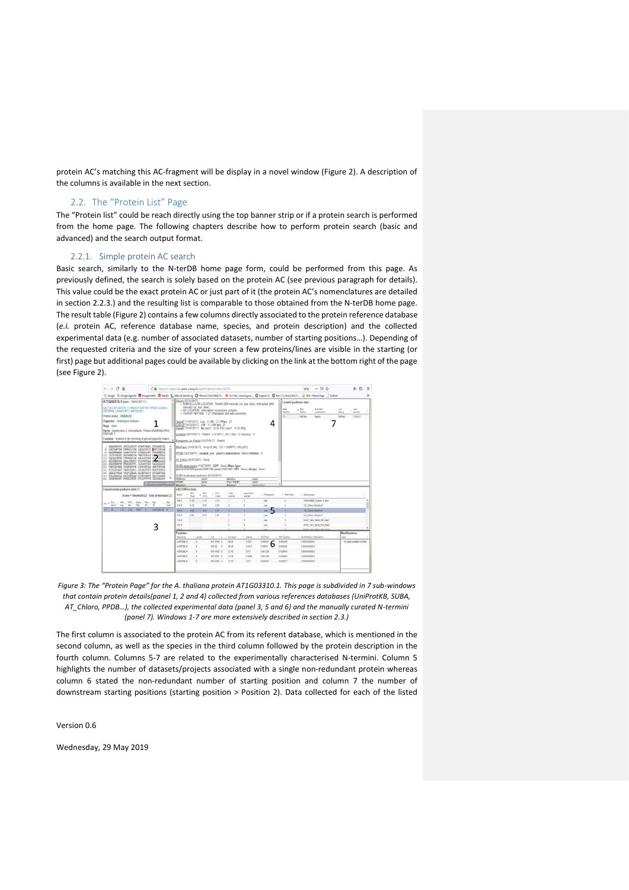protein AC's matching this AC-fragment will be display in a novel window (Figure 2). A description of the columns is available in the next section.

### <span id="page-3-0"></span>2.2. The "Protein List" Page

The "Protein list" could be reach directly using the top banner strip or if a protein search is performed from the home page. The following chapters describe how to perform protein search (basic and advanced) and the search output format.

#### <span id="page-3-1"></span>2.2.1. Simple protein AC search

Basic search, similarly to the N-terDB home page form, could be performed from this page. As previously defined, the search is solely based on the protein AC (see previous paragraph for details). This value could be the exact protein AC or just part of it (the protein AC's nomenclatures are detailed in section 2.2.3.) and the resulting list is comparable to those obtained from the N-terDB home page. The result table (Figure 2) contains a few columns directly associated to the protein reference database (*e.i.* protein AC, reference database name, species, and protein description) and the collected experimental data (e.g. number of associated datasets, number of starting positions…). Depending of the requested criteria and the size of your screen a few proteins/lines are visible in the starting (or first) page but additional pages could be available by clicking on the link at the bottom right of the page (see Figure 2).



*Figure 3: The "Protein Page" for the A. thaliana protein AT1G03310.1. This page is subdivided in 7 sub-windows that contain protein details(panel 1, 2 and 4) collected from various references databases (UniProtKB, SUBA, AT\_Chloro, PPDB…), the collected experimental data (panel 3, 5 and 6) and the manually curated N-termini (panel 7). Windows 1-7 are more extensively described in section 2.3.)*

The first column is associated to the protein AC from its referent database, which is mentioned in the second column, as well as the species in the third column followed by the protein description in the fourth column. Columns 5-7 are related to the experimentally characterised N-termini. Column 5 highlights the number of datasets/projects associated with a single non-redundant protein whereas column 6 stated the non-redundant number of starting position and column 7 the number of downstream starting positions (starting position > Position 2). Data collected for each of the listed

Version 0.6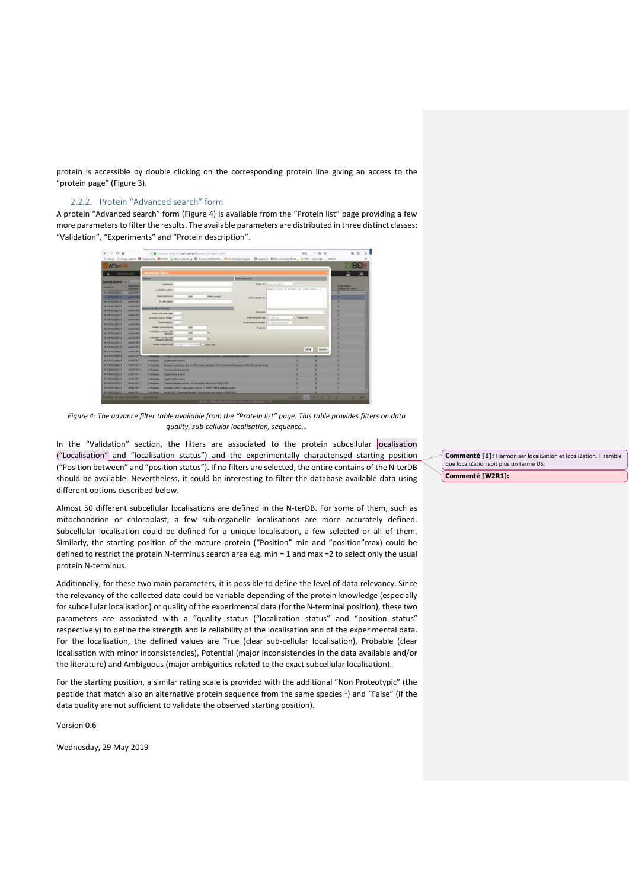protein is accessible by double clicking on the corresponding protein line giving an access to the "protein page" (Figure 3).

#### <span id="page-4-0"></span>2.2.2. Protein "Advanced search" form

A protein "Advanced search" form (Figure 4) is available from the "Protein list" page providing a few more parameters to filter the results. The available parameters are distributed in three distinct classes: "Validation", "Experiments" and "Protein description".



*Figure 4: The advance filter table available from the "Protein list" page. This table provides filters on data quality, sub-cellular localisation, sequence…*

In the "Validation" section, the filters are associated to the protein subcellular localisation ("Localisation" and "localisation status") and the experimentally characterised starting position ("Position between" and "position status"). If no filters are selected, the entire contains of the N-terDB should be available. Nevertheless, it could be interesting to filter the database available data using different options described below.

Almost 50 different subcellular localisations are defined in the N-terDB. For some of them, such as mitochondrion or chloroplast, a few sub-organelle localisations are more accurately defined. Subcellular localisation could be defined for a unique localisation, a few selected or all of them. Similarly, the starting position of the mature protein ("Position" min and "position"max) could be defined to restrict the protein N-terminus search area e.g. min = 1 and max =2 to select only the usual protein N-terminus.

Additionally, for these two main parameters, it is possible to define the level of data relevancy. Since the relevancy of the collected data could be variable depending of the protein knowledge (especially for subcellular localisation) or quality of the experimental data (for the N-terminal position), these two parameters are associated with a "quality status ("localization status" and "position status" respectively) to define the strength and le reliability of the localisation and of the experimental data. For the localisation, the defined values are True (clear sub-cellular localisation), Probable (clear localisation with minor inconsistencies), Potential (major inconsistencies in the data available and/or the literature) and Ambiguous (major ambiguities related to the exact subcellular localisation).

For the starting position, a similar rating scale is provided with the additional "Non Proteotypic" (the peptide that match also an alternative protein sequence from the same species <sup>1</sup>) and "False" (if the data quality are not sufficient to validate the observed starting position).

Version 0.6

Wednesday, 29 May 2019

**Commenté [1]:** Harmoniser localiSation et localiZation. Il semble que localiZation soit plus un terme US. **Commenté [W2R1]:**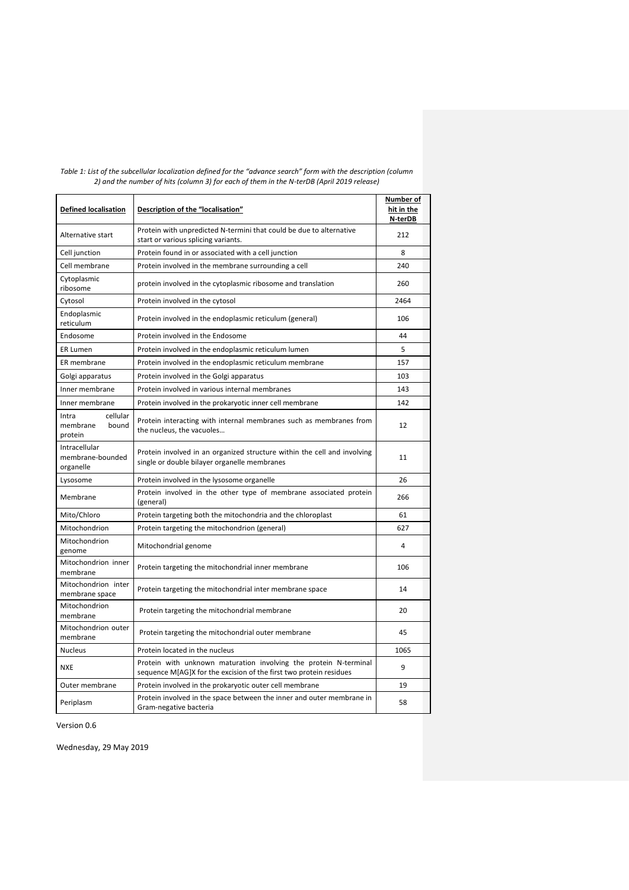| <b>Defined localisation</b>                                                                                  | Description of the "localisation"                                                                                                      | Number of<br>hit in the<br>N-terDB |
|--------------------------------------------------------------------------------------------------------------|----------------------------------------------------------------------------------------------------------------------------------------|------------------------------------|
| Alternative start                                                                                            | Protein with unpredicted N-termini that could be due to alternative<br>start or various splicing variants.                             | 212                                |
| Cell junction                                                                                                | Protein found in or associated with a cell junction                                                                                    | 8                                  |
| Cell membrane                                                                                                | Protein involved in the membrane surrounding a cell                                                                                    | 240                                |
| Cytoplasmic<br>ribosome                                                                                      | protein involved in the cytoplasmic ribosome and translation                                                                           | 260                                |
| Cytosol                                                                                                      | Protein involved in the cytosol                                                                                                        | 2464                               |
| Endoplasmic<br>reticulum                                                                                     | Protein involved in the endoplasmic reticulum (general)                                                                                | 106                                |
| Endosome                                                                                                     | Protein involved in the Endosome                                                                                                       | 44                                 |
| <b>ER Lumen</b>                                                                                              | Protein involved in the endoplasmic reticulum lumen                                                                                    | 5                                  |
| ER membrane                                                                                                  | Protein involved in the endoplasmic reticulum membrane                                                                                 | 157                                |
| Golgi apparatus                                                                                              | Protein involved in the Golgi apparatus                                                                                                | 103                                |
| Inner membrane                                                                                               | Protein involved in various internal membranes                                                                                         | 143                                |
| Inner membrane                                                                                               | Protein involved in the prokaryotic inner cell membrane                                                                                | 142                                |
| cellular<br>Intra<br>membrane<br>bound<br>protein                                                            | Protein interacting with internal membranes such as membranes from<br>the nucleus, the vacuoles                                        | 12                                 |
| Intracellular<br>membrane-bounded<br>organelle                                                               | Protein involved in an organized structure within the cell and involving<br>single or double bilayer organelle membranes               | 11                                 |
| Lysosome                                                                                                     | Protein involved in the lysosome organelle                                                                                             |                                    |
| Membrane                                                                                                     | Protein involved in the other type of membrane associated protein<br>(general)                                                         | 266                                |
| Mito/Chloro                                                                                                  | Protein targeting both the mitochondria and the chloroplast                                                                            | 61                                 |
| Mitochondrion                                                                                                | Protein targeting the mitochondrion (general)                                                                                          | 627                                |
| Mitochondrion<br>genome                                                                                      | Mitochondrial genome                                                                                                                   | 4                                  |
| Mitochondrion inner<br>Protein targeting the mitochondrial inner membrane<br>membrane                        |                                                                                                                                        | 106                                |
| Mitochondrion inter<br>membrane space                                                                        | Protein targeting the mitochondrial inter membrane space                                                                               |                                    |
| Mitochondrion<br>membrane                                                                                    | Protein targeting the mitochondrial membrane                                                                                           |                                    |
| Mitochondrion outer<br>membrane                                                                              | Protein targeting the mitochondrial outer membrane                                                                                     |                                    |
| <b>Nucleus</b>                                                                                               | Protein located in the nucleus                                                                                                         |                                    |
| <b>NXE</b>                                                                                                   | Protein with unknown maturation involving the protein N-terminal<br>sequence M[AG]X for the excision of the first two protein residues |                                    |
| Outer membrane                                                                                               | Protein involved in the prokaryotic outer cell membrane                                                                                | 19                                 |
| Protein involved in the space between the inner and outer membrane in<br>Periplasm<br>Gram-negative bacteria |                                                                                                                                        | 58                                 |

| Table 1: List of the subcellular localization defined for the "advance search" form with the description (column |
|------------------------------------------------------------------------------------------------------------------|
| 2) and the number of hits (column 3) for each of them in the N-terDB (April 2019 release)                        |

Version 0.6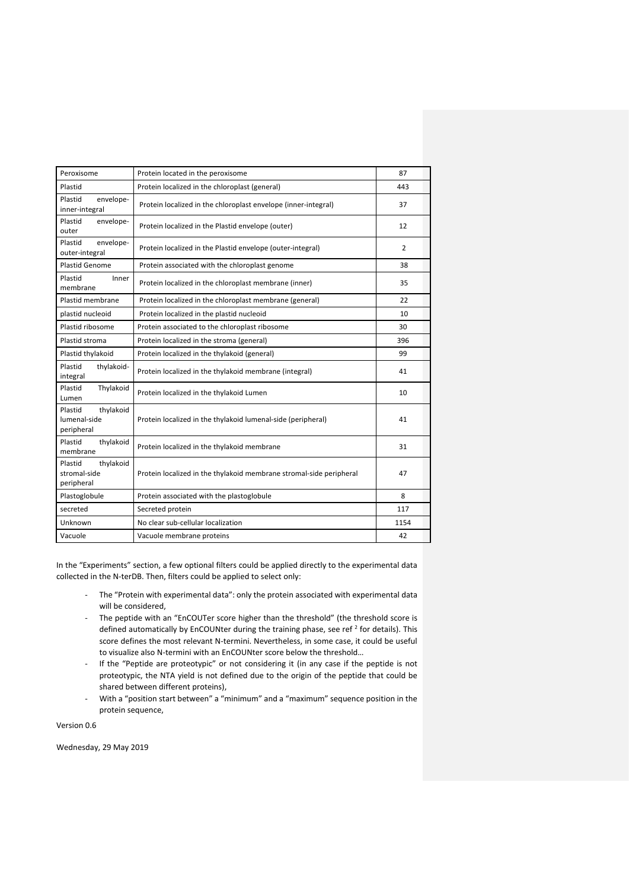| Peroxisome                                         | Protein located in the peroxisome                                   | 87             |
|----------------------------------------------------|---------------------------------------------------------------------|----------------|
| Plastid                                            | Protein localized in the chloroplast (general)                      | 443            |
| Plastid<br>envelope-<br>inner-integral             | Protein localized in the chloroplast envelope (inner-integral)      | 37             |
| Plastid<br>envelope-<br>outer                      | Protein localized in the Plastid envelope (outer)                   | 12             |
| envelope-<br>Plastid<br>outer-integral             | Protein localized in the Plastid envelope (outer-integral)          | $\overline{2}$ |
| <b>Plastid Genome</b>                              | Protein associated with the chloroplast genome                      | 38             |
| Plastid<br>Inner<br>membrane                       | Protein localized in the chloroplast membrane (inner)               | 35             |
| Plastid membrane                                   | Protein localized in the chloroplast membrane (general)             | 22             |
| plastid nucleoid                                   | Protein localized in the plastid nucleoid                           | 10             |
| Plastid ribosome                                   | Protein associated to the chloroplast ribosome                      | 30             |
| Plastid stroma                                     | Protein localized in the stroma (general)                           | 396            |
| Plastid thylakoid                                  | Protein localized in the thylakoid (general)                        | 99             |
| Plastid<br>thylakoid-<br>integral                  | Protein localized in the thylakoid membrane (integral)              | 41             |
| Plastid<br>Thylakoid<br>Lumen                      | Protein localized in the thylakoid Lumen                            | 10             |
| thylakoid<br>Plastid<br>lumenal-side<br>peripheral | Protein localized in the thylakoid lumenal-side (peripheral)        | 41             |
| Plastid<br>thylakoid<br>membrane                   | Protein localized in the thylakoid membrane                         | 31             |
| thylakoid<br>Plastid<br>stromal-side<br>peripheral | Protein localized in the thylakoid membrane stromal-side peripheral | 47             |
| Plastoglobule                                      | Protein associated with the plastoglobule                           | 8              |
| secreted                                           | Secreted protein                                                    | 117            |
| Unknown                                            | No clear sub-cellular localization                                  | 1154           |
| Vacuole                                            | Vacuole membrane proteins                                           | 42             |

In the "Experiments" section, a few optional filters could be applied directly to the experimental data collected in the N-terDB. Then, filters could be applied to select only:

- The "Protein with experimental data": only the protein associated with experimental data will be considered,
- The peptide with an "EnCOUTer score higher than the threshold" (the threshold score is defined automatically by EnCOUNter during the training phase, see ref  $^2$  for details). This score defines the most relevant N-termini. Nevertheless, in some case, it could be useful to visualize also N-termini with an EnCOUNter score below the threshold…
- If the "Peptide are proteotypic" or not considering it (in any case if the peptide is not proteotypic, the NTA yield is not defined due to the origin of the peptide that could be shared between different proteins),
- With a "position start between" a "minimum" and a "maximum" sequence position in the protein sequence,

Version 0.6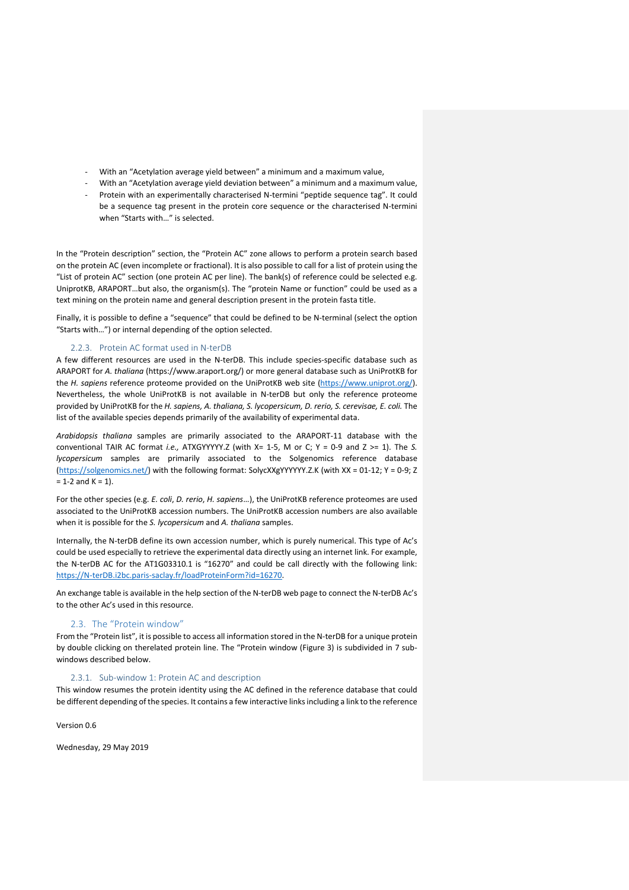- With an "Acetylation average yield between" a minimum and a maximum value,
- With an "Acetylation average yield deviation between" a minimum and a maximum value,
- Protein with an experimentally characterised N-termini "peptide sequence tag". It could be a sequence tag present in the protein core sequence or the characterised N-termini when "Starts with…" is selected.

In the "Protein description" section, the "Protein AC" zone allows to perform a protein search based on the protein AC (even incomplete or fractional). It is also possible to call for a list of protein using the "List of protein AC" section (one protein AC per line). The bank(s) of reference could be selected e.g. UniprotKB, ARAPORT…but also, the organism(s). The "protein Name or function" could be used as a text mining on the protein name and general description present in the protein fasta title.

Finally, it is possible to define a "sequence" that could be defined to be N-terminal (select the option "Starts with…") or internal depending of the option selected.

## 2.2.3. Protein AC format used in N-terDB

<span id="page-7-0"></span>A few different resources are used in the N-terDB. This include species-specific database such as ARAPORT for *A. thaliana* (https://www.araport.org/) or more general database such as UniProtKB for the *H. sapiens* reference proteome provided on the UniProtKB web site [\(https://www.uniprot.org/\)](https://www.uniprot.org/). Nevertheless, the whole UniProtKB is not available in N-terDB but only the reference proteome provided by UniProtKB for the *H. sapiens, A. thaliana, S. lycopersicum, D. rerio, S. cerevisae, E. coli.* The list of the available species depends primarily of the availability of experimental data.

*Arabidopsis thaliana* samples are primarily associated to the ARAPORT-11 database with the conventional TAIR AC format *i.e.,* ATXGYYYYY.Z (with X= 1-5, M or C; Y = 0-9 and Z >= 1). The *S. lycopersicum* samples are primarily associated to the Solgenomics reference database [\(https://solgenomics.net/\)](https://solgenomics.net/) with the following format: SolycXXgYYYYYY.Z.K (with XX = 01-12; Y = 0-9; Z  $= 1-2$  and  $K = 1$ ).

For the other species (e.g. *E. coli*, *D. rerio*, *H. sapiens*…), the UniProtKB reference proteomes are used associated to the UniProtKB accession numbers. The UniProtKB accession numbers are also available when it is possible for the *S. lycopersicum* and *A. thaliana* samples.

Internally, the N-terDB define its own accession number, which is purely numerical. This type of Ac's could be used especially to retrieve the experimental data directly using an internet link. For example, the N-terDB AC for the AT1G03310.1 is "16270" and could be call directly with the following link: [https://N-terDB.i2bc.paris-saclay.fr/loadProteinForm?id=16270.](https://n-terdb.i2bc.paris-saclay.fr/loadProteinForm?id=16270)

An exchange table is available in the help section of the N-terDB web page to connect the N-terDB Ac's to the other Ac's used in this resource.

# 2.3. The "Protein window"

<span id="page-7-1"></span>From the "Protein list", it is possible to access all information stored in the N-terDB for a unique protein by double clicking on therelated protein line. The "Protein window (Figure 3) is subdivided in 7 subwindows described below.

# 2.3.1. Sub-window 1: Protein AC and description

<span id="page-7-2"></span>This window resumes the protein identity using the AC defined in the reference database that could be different depending of the species. It contains a few interactive links including a link to the reference

Version 0.6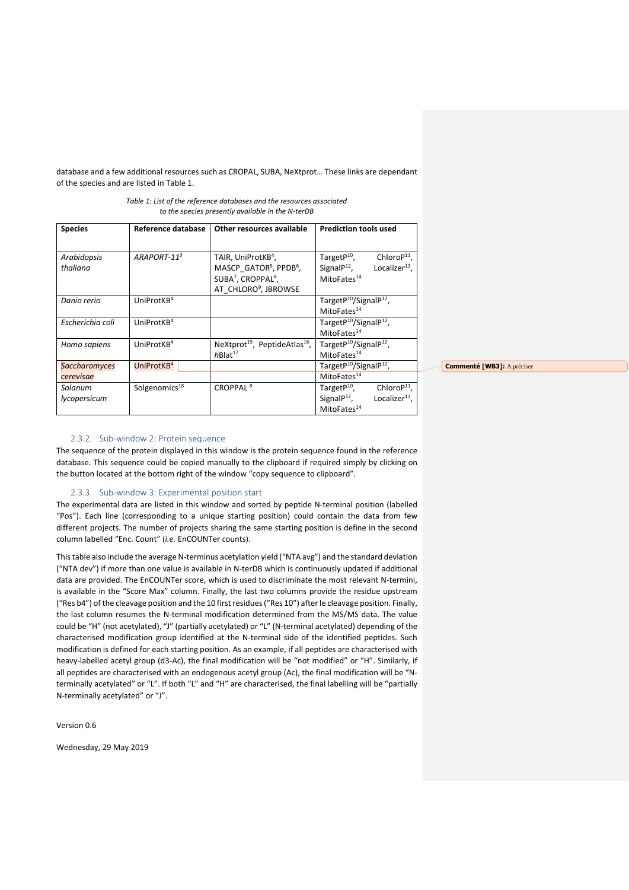database and a few additional resources such as CROPAL, SUBA, NeXtprot… These links are dependant of the species and are listed in Table 1.

| <b>Species</b>       | Reference database        | Other resources available                             | <b>Prediction tools used</b>                   |
|----------------------|---------------------------|-------------------------------------------------------|------------------------------------------------|
|                      |                           |                                                       |                                                |
| Arabidopsis          | ARAPORT-11 <sup>3</sup>   | TAIR, UniProtKB <sup>4</sup> ,                        | TargetP <sup>10</sup> ,<br>Chloro $P^{11}$ ,   |
| thaliana             |                           | MASCP_GATOR <sup>5</sup> , PPDB <sup>6</sup> ,        | Signal $P^{12}$ ,<br>Localizer $^{13}$ .       |
|                      |                           | SUBA <sup>7</sup> , CROPPAL <sup>8</sup> ,            | MitoFates <sup>14</sup>                        |
|                      |                           | AT CHLORO <sup>9</sup> , JBROWSE                      |                                                |
| Danio rerio          | UniProt $KB4$             |                                                       | Target $P^{10}/$ Signal $P^{12}$ ,             |
|                      |                           |                                                       | MitoFates <sup>14</sup>                        |
| Escherichia coli     | UniProtKB <sup>4</sup>    |                                                       | TargetP <sup>10</sup> /SignalP <sup>12</sup> , |
|                      |                           |                                                       | MitoFates <sup>14</sup>                        |
| Homo sapiens         | UniProtKB <sup>4</sup>    | NeXtprot <sup>15</sup> , PeptideAtlas <sup>16</sup> , | TargetP <sup>10</sup> /SignalP <sup>12</sup> , |
|                      |                           | $h$ Blat <sup>17</sup>                                | MitoFates <sup>14</sup>                        |
| <b>Saccharomyces</b> | UniProtKB <sup>4</sup>    |                                                       | TargetP <sup>10</sup> /SignalP <sup>12</sup> , |
| cerevisae            |                           |                                                       | MitoFates <sup>14</sup>                        |
| Solanum              | Solgenomics <sup>18</sup> | CROPPAL <sup>8</sup>                                  | TargetP <sup>10</sup> ,<br>Chloro $P^{11}$ ,   |
| lycopersicum         |                           |                                                       | Signal $P^{12}$ ,<br>Localizer $^{13}$ .       |
|                      |                           |                                                       | MitoFates <sup>14</sup>                        |

*Table 1: List of the reference databases and the resources associated to the species presently available in the N-terDB*

#### 2.3.2. Sub-window 2: Protein sequence

<span id="page-8-0"></span>The sequence of the protein displayed in this window is the protein sequence found in the reference database. This sequence could be copied manually to the clipboard if required simply by clicking on the button located at the bottom right of the window "copy sequence to clipboard".

## 2.3.3. Sub-window 3: Experimental position start

<span id="page-8-1"></span>The experimental data are listed in this window and sorted by peptide N-terminal position (labelled "Pos"). Each line (corresponding to a unique starting position) could contain the data from few different projects. The number of projects sharing the same starting position is define in the second column labelled "Enc. Count" (*i.e.* EnCOUNTer counts).

This table also include the average N-terminus acetylation yield ("NTA avg") and the standard deviation ("NTA dev") if more than one value is available in N-terDB which is continuously updated if additional data are provided. The EnCOUNTer score, which is used to discriminate the most relevant N-termini, is available in the "Score Max" column. Finally, the last two columns provide the residue upstream ("Res b4") of the cleavage position and the 10 first residues ("Res 10") after le cleavage position. Finally, the last column resumes the N-terminal modification determined from the MS/MS data. The value could be "H" (not acetylated), "J" (partially acetylated) or "L" (N-terminal acetylated) depending of the characterised modification group identified at the N-terminal side of the identified peptides. Such modification is defined for each starting position. As an example, if all peptides are characterised with heavy-labelled acetyl group (d3-Ac), the final modification will be "not modified" or "H". Similarly, if all peptides are characterised with an endogenous acetyl group (Ac), the final modification will be "Nterminally acetylated" or "L". If both "L" and "H" are characterised, the final labelling will be "partially N-terminally acetylated" or "J".

Version 0.6

Wednesday, 29 May 2019

**Commenté [WB3]:** A préciser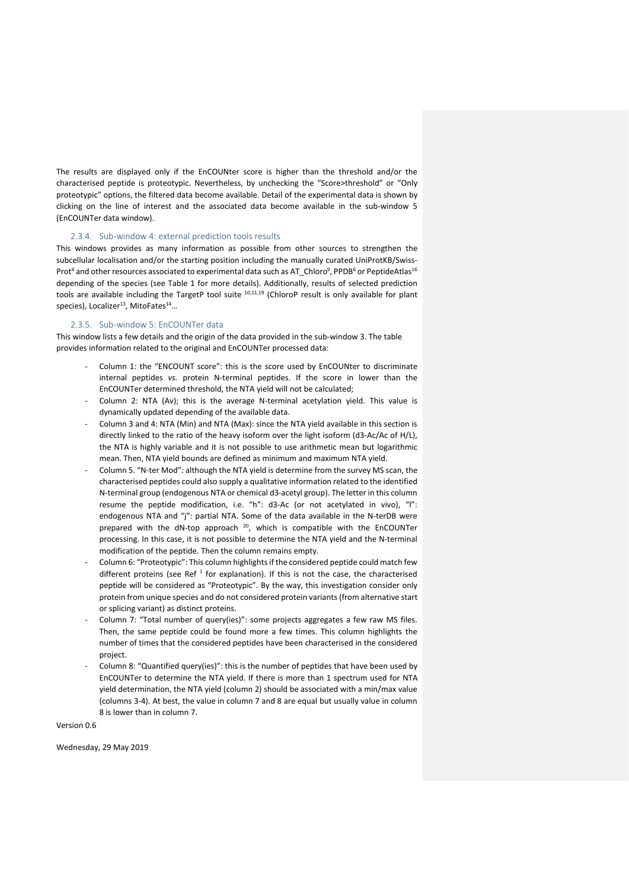The results are displayed only if the EnCOUNter score is higher than the threshold and/or the characterised peptide is proteotypic. Nevertheless, by unchecking the "Score>threshold" or "Only proteotypic" options, the filtered data become available. Detail of the experimental data is shown by clicking on the line of interest and the associated data become available in the sub-window 5 (EnCOUNTer data window).

# 2.3.4. Sub-window 4: external prediction tools results

<span id="page-9-0"></span>This windows provides as many information as possible from other sources to strengthen the subcellular localisation and/or the starting position including the manually curated UniProtKB/Swiss-Prot<sup>4</sup> and other resources associated to experimental data such as AT\_Chloro $^9$ , PPDB $^6$  or PeptideAtlas $^{16}$ depending of the species (see Table 1 for more details). Additionally, results of selected prediction tools are available including the TargetP tool suite <sup>10,11,19</sup> (ChloroP result is only available for plant species), Localizer<sup>13</sup>, MitoFates<sup>14</sup>...

# 2.3.5. Sub-window 5: EnCOUNTer data

<span id="page-9-1"></span>This window lists a few details and the origin of the data provided in the sub-window 3. The table provides information related to the original and EnCOUNTer processed data:

- Column 1: the "ENCOUNT score": this is the score used by EnCOUNter to discriminate internal peptides *vs.* protein N-terminal peptides. If the score in lower than the EnCOUNTer determined threshold, the NTA yield will not be calculated;
- Column 2: NTA (Av); this is the average N-terminal acetylation yield. This value is dynamically updated depending of the available data.
- Column 3 and 4: NTA (Min) and NTA (Max): since the NTA yield available in this section is directly linked to the ratio of the heavy isoform over the light isoform (d3-Ac/Ac of H/L), the NTA is highly variable and it is not possible to use arithmetic mean but logarithmic mean. Then, NTA yield bounds are defined as minimum and maximum NTA yield.
- Column 5. "N-ter Mod": although the NTA yield is determine from the survey MS scan, the characterised peptides could also supply a qualitative information related to the identified N-terminal group (endogenous NTA or chemical d3-acetyl group). The letter in this column resume the peptide modification, i.e. "h": d3-Ac (or not acetylated in vivo), "l": endogenous NTA and "j": partial NTA. Some of the data available in the N-terDB were prepared with the dN-top approach  $20$ , which is compatible with the EnCOUNTer processing. In this case, it is not possible to determine the NTA yield and the N-terminal modification of the peptide. Then the column remains empty.
- Column 6: "Proteotypic": This column highlights if the considered peptide could match few different proteins (see Ref<sup>1</sup> for explanation). If this is not the case, the characterised peptide will be considered as "Proteotypic". By the way, this investigation consider only protein from unique species and do not considered protein variants (from alternative start or splicing variant) as distinct proteins.
- Column 7: "Total number of query(ies)": some projects aggregates a few raw MS files. Then, the same peptide could be found more a few times. This column highlights the number of times that the considered peptides have been characterised in the considered project.
- Column 8: "Quantified query(ies)": this is the number of peptides that have been used by EnCOUNTer to determine the NTA yield. If there is more than 1 spectrum used for NTA yield determination, the NTA yield (column 2) should be associated with a min/max value (columns 3-4). At best, the value in column 7 and 8 are equal but usually value in column 8 is lower than in column 7.

Version 0.6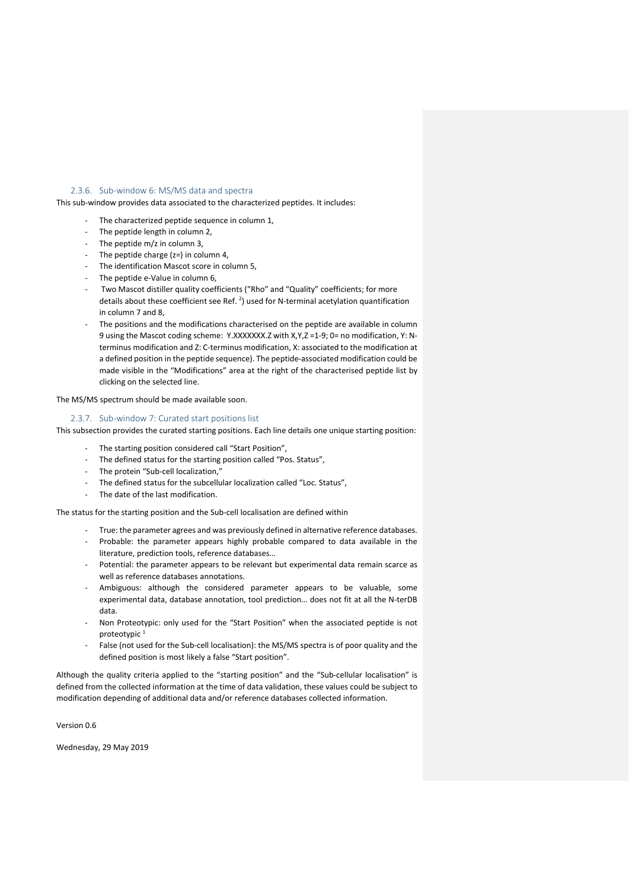#### <span id="page-10-0"></span>2.3.6. Sub-window 6: MS/MS data and spectra

This sub-window provides data associated to the characterized peptides. It includes:

- The characterized peptide sequence in column 1,
- The peptide length in column 2,
- The peptide m/z in column 3,
- The peptide charge  $(z=)$  in column 4,
- The identification Mascot score in column 5,
- The peptide e-Value in column 6,
- Two Mascot distiller quality coefficients ("Rho" and "Quality" coefficients; for more details about these coefficient see Ref.<sup>2</sup>) used for N-terminal acetylation quantification in column 7 and 8,
- The positions and the modifications characterised on the peptide are available in column 9 using the Mascot coding scheme: Y.XXXXXXX.Z with X,Y,Z =1-9; 0= no modification, Y: Nterminus modification and Z: C-terminus modification, X: associated to the modification at a defined position in the peptide sequence). The peptide-associated modification could be made visible in the "Modifications" area at the right of the characterised peptide list by clicking on the selected line.

The MS/MS spectrum should be made available soon.

#### 2.3.7. Sub-window 7: Curated start positions list

<span id="page-10-1"></span>This subsection provides the curated starting positions. Each line details one unique starting position:

- The starting position considered call "Start Position",
- The defined status for the starting position called "Pos. Status",
- The protein "Sub-cell localization,"
- The defined status for the subcellular localization called "Loc. Status",
- The date of the last modification.

The status for the starting position and the Sub-cell localisation are defined within

- True: the parameter agrees and was previously defined in alternative reference databases.
- Probable: the parameter appears highly probable compared to data available in the literature, prediction tools, reference databases…
- Potential: the parameter appears to be relevant but experimental data remain scarce as well as reference databases annotations.
- Ambiguous: although the considered parameter appears to be valuable, some experimental data, database annotation, tool prediction… does not fit at all the N-terDB data.
- Non Proteotypic: only used for the "Start Position" when the associated peptide is not proteotypic<sup>1</sup>
- False (not used for the Sub-cell localisation): the MS/MS spectra is of poor quality and the defined position is most likely a false "Start position".

Although the quality criteria applied to the "starting position" and the "Sub-cellular localisation" is defined from the collected information at the time of data validation, these values could be subject to modification depending of additional data and/or reference databases collected information.

Version 0.6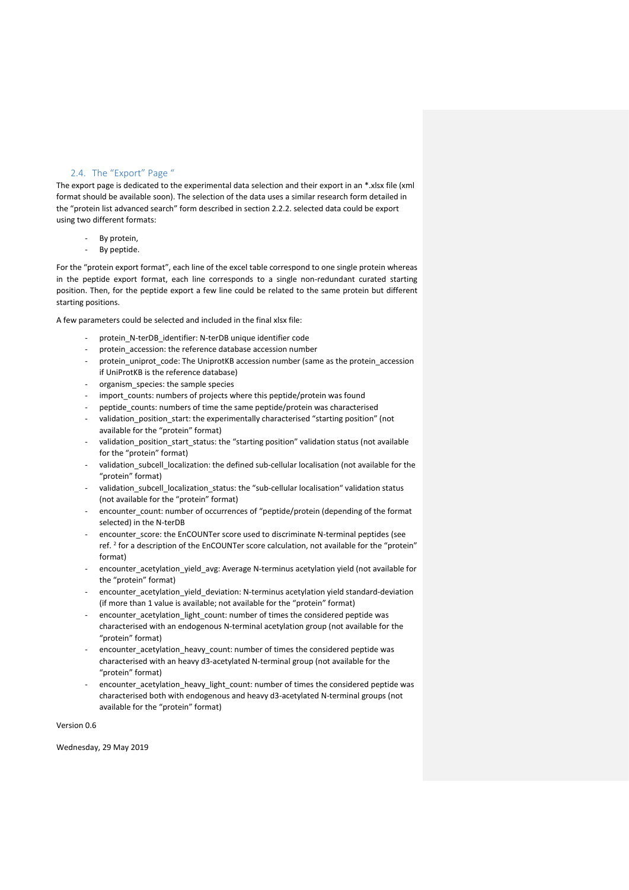# 2.4. The "Export" Page "

<span id="page-11-0"></span>The export page is dedicated to the experimental data selection and their export in an \*.xlsx file (xml format should be available soon). The selection of the data uses a similar research form detailed in the "protein list advanced search" form described in section 2.2.2. selected data could be export using two different formats:

- By protein,
- By peptide.

For the "protein export format", each line of the excel table correspond to one single protein whereas in the peptide export format, each line corresponds to a single non-redundant curated starting position. Then, for the peptide export a few line could be related to the same protein but different starting positions.

A few parameters could be selected and included in the final xlsx file:

- protein\_N-terDB\_identifier: N-terDB unique identifier code
- protein\_accession: the reference database accession number
- protein\_uniprot\_code: The UniprotKB accession number (same as the protein\_accession if UniProtKB is the reference database)
- organism\_species: the sample species
- import\_counts: numbers of projects where this peptide/protein was found
- peptide counts: numbers of time the same peptide/protein was characterised
- validation\_position\_start: the experimentally characterised "starting position" (not available for the "protein" format)
- validation\_position\_start\_status: the "starting position" validation status (not available for the "protein" format)
- validation\_subcell\_localization: the defined sub-cellular localisation (not available for the "protein" format)
- validation subcell localization status: the "sub-cellular localisation" validation status (not available for the "protein" format)
- encounter count: number of occurrences of "peptide/protein (depending of the format selected) in the N-terDB
- encounter score: the EnCOUNTer score used to discriminate N-terminal peptides (see ref.<sup>2</sup> for a description of the EnCOUNTer score calculation, not available for the "protein" format)
- encounter\_acetylation\_yield\_avg: Average N-terminus acetylation yield (not available for the "protein" format)
- encounter acetylation yield deviation: N-terminus acetylation yield standard-deviation (if more than 1 value is available; not available for the "protein" format)
- encounter\_acetylation\_light\_count: number of times the considered peptide was characterised with an endogenous N-terminal acetylation group (not available for the "protein" format)
- encounter\_acetylation\_heavy\_count: number of times the considered peptide was characterised with an heavy d3-acetylated N-terminal group (not available for the "protein" format)
- encounter\_acetylation\_heavy\_light\_count: number of times the considered peptide was characterised both with endogenous and heavy d3-acetylated N-terminal groups (not available for the "protein" format)

Version 0.6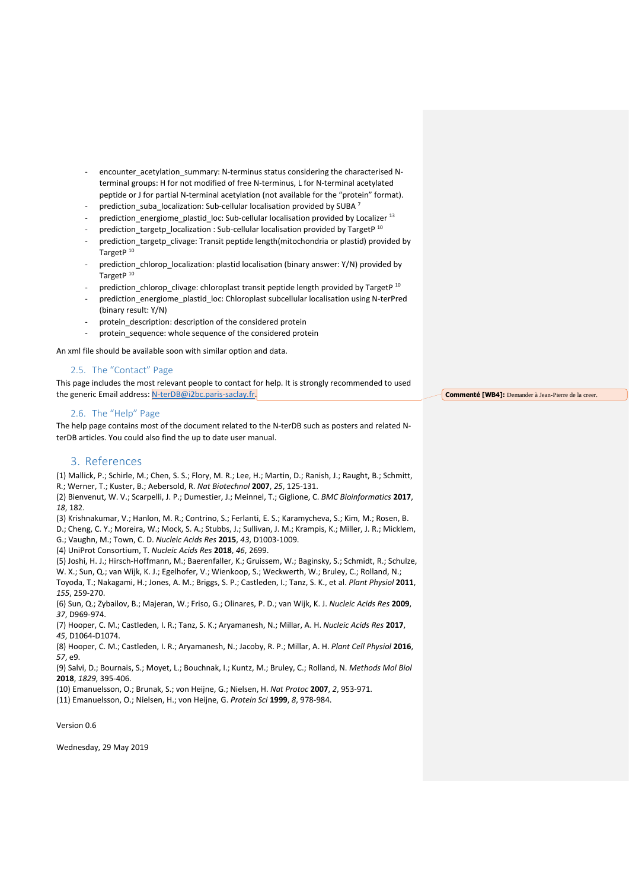- encounter acetylation summary: N-terminus status considering the characterised Nterminal groups: H for not modified of free N-terminus, L for N-terminal acetylated peptide or J for partial N-terminal acetylation (not available for the "protein" format).
- prediction\_suba\_localization: Sub-cellular localisation provided by SUBA 7
- prediction\_energiome\_plastid\_loc: Sub-cellular localisation provided by Localizer<sup>13</sup>
- prediction\_targetp\_localization : Sub-cellular localisation provided by TargetP<sup>10</sup>
- prediction\_targetp\_clivage: Transit peptide length(mitochondria or plastid) provided by TargetP<sup>10</sup>
- prediction chlorop localization: plastid localisation (binary answer: Y/N) provided by TargetP<sup>10</sup>
- prediction\_chlorop\_clivage: chloroplast transit peptide length provided by TargetP<sup>10</sup>
- prediction\_energiome\_plastid\_loc: Chloroplast subcellular localisation using N-terPred (binary result: Y/N)
- protein\_description: description of the considered protein
- protein sequence: whole sequence of the considered protein

An xml file should be available soon with similar option and data.

# <span id="page-12-0"></span>2.5. The "Contact" Page

This page includes the most relevant people to contact for help. It is strongly recommended to used the generic Email address: [N-terDB@i2bc.paris-saclay.fr.](mailto:N-terDB@i2bc.paris-saclay.fr)

## <span id="page-12-1"></span>2.6. The "Help" Page

The help page contains most of the document related to the N-terDB such as posters and related NterDB articles. You could also find the up to date user manual.

# <span id="page-12-2"></span>3. References

(1) Mallick, P.; Schirle, M.; Chen, S. S.; Flory, M. R.; Lee, H.; Martin, D.; Ranish, J.; Raught, B.; Schmitt, R.; Werner, T.; Kuster, B.; Aebersold, R. *Nat Biotechnol* **2007**, *25*, 125-131.

(2) Bienvenut, W. V.; Scarpelli, J. P.; Dumestier, J.; Meinnel, T.; Giglione, C. *BMC Bioinformatics* **2017**, *18*, 182.

(3) Krishnakumar, V.; Hanlon, M. R.; Contrino, S.; Ferlanti, E. S.; Karamycheva, S.; Kim, M.; Rosen, B.

D.; Cheng, C. Y.; Moreira, W.; Mock, S. A.; Stubbs, J.; Sullivan, J. M.; Krampis, K.; Miller, J. R.; Micklem, G.; Vaughn, M.; Town, C. D. *Nucleic Acids Res* **2015**, *43*, D1003-1009.

(4) UniProt Consortium, T. *Nucleic Acids Res* **2018**, *46*, 2699.

(5) Joshi, H. J.; Hirsch-Hoffmann, M.; Baerenfaller, K.; Gruissem, W.; Baginsky, S.; Schmidt, R.; Schulze, W. X.; Sun, Q.; van Wijk, K. J.; Egelhofer, V.; Wienkoop, S.; Weckwerth, W.; Bruley, C.; Rolland, N.; Toyoda, T.; Nakagami, H.; Jones, A. M.; Briggs, S. P.; Castleden, I.; Tanz, S. K., et al. *Plant Physiol* **2011**,

*155*, 259-270.

(6) Sun, Q.; Zybailov, B.; Majeran, W.; Friso, G.; Olinares, P. D.; van Wijk, K. J. *Nucleic Acids Res* **2009**, *37*, D969-974.

(7) Hooper, C. M.; Castleden, I. R.; Tanz, S. K.; Aryamanesh, N.; Millar, A. H. *Nucleic Acids Res* **2017**, *45*, D1064-D1074.

(8) Hooper, C. M.; Castleden, I. R.; Aryamanesh, N.; Jacoby, R. P.; Millar, A. H. *Plant Cell Physiol* **2016**, *57*, e9.

(9) Salvi, D.; Bournais, S.; Moyet, L.; Bouchnak, I.; Kuntz, M.; Bruley, C.; Rolland, N. *Methods Mol Biol* **2018**, *1829*, 395-406.

(10) Emanuelsson, O.; Brunak, S.; von Heijne, G.; Nielsen, H. *Nat Protoc* **2007**, *2*, 953-971.

(11) Emanuelsson, O.; Nielsen, H.; von Heijne, G. *Protein Sci* **1999**, *8*, 978-984.

Version 0.6

Wednesday, 29 May 2019

**Commenté [WB4]:** Demander à Jean-Pierre de la creer.